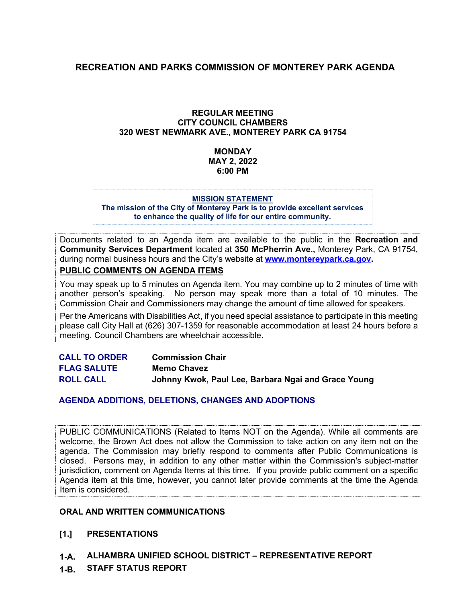## **RECREATION AND PARKS COMMISSION OF MONTEREY PARK AGENDA**

## **REGULAR MEETING CITY COUNCIL CHAMBERS 320 WEST NEWMARK AVE., MONTEREY PARK CA 91754**

## **MONDAY MAY 2, 2022 6:00 PM**

#### **MISSION STATEMENT**

**The mission of the City of Monterey Park is to provide excellent services to enhance the quality of life for our entire community.**

Documents related to an Agenda item are available to the public in the **Recreation and Community Services Department** located at **350 McPherrin Ave.,** Monterey Park, CA 91754, during normal business hours and the City's website at **[www.montereypark.ca.gov.](http://www.montereypark.ca.gov/)** 

**PUBLIC COMMENTS ON AGENDA ITEMS**

You may speak up to 5 minutes on Agenda item. You may combine up to 2 minutes of time with another person's speaking. No person may speak more than a total of 10 minutes. The Commission Chair and Commissioners may change the amount of time allowed for speakers.

Per the Americans with Disabilities Act, if you need special assistance to participate in this meeting please call City Hall at (626) 307-1359 for reasonable accommodation at least 24 hours before a meeting. Council Chambers are wheelchair accessible.

| <b>CALL TO ORDER</b> | <b>Commission Chair</b>                             |
|----------------------|-----------------------------------------------------|
| <b>FLAG SALUTE</b>   | <b>Memo Chavez</b>                                  |
| <b>ROLL CALL</b>     | Johnny Kwok, Paul Lee, Barbara Ngai and Grace Young |

## **AGENDA ADDITIONS, DELETIONS, CHANGES AND ADOPTIONS**

PUBLIC COMMUNICATIONS (Related to Items NOT on the Agenda). While all comments are welcome, the Brown Act does not allow the Commission to take action on any item not on the agenda. The Commission may briefly respond to comments after Public Communications is closed. Persons may, in addition to any other matter within the Commission's subject-matter jurisdiction, comment on Agenda Items at this time. If you provide public comment on a specific Agenda item at this time, however, you cannot later provide comments at the time the Agenda Item is considered.

#### **ORAL AND WRITTEN COMMUNICATIONS**

- **[1.] PRESENTATIONS**
- **1-A. ALHAMBRA UNIFIED SCHOOL DISTRICT – REPRESENTATIVE REPORT**
- **1-B. STAFF STATUS REPORT**